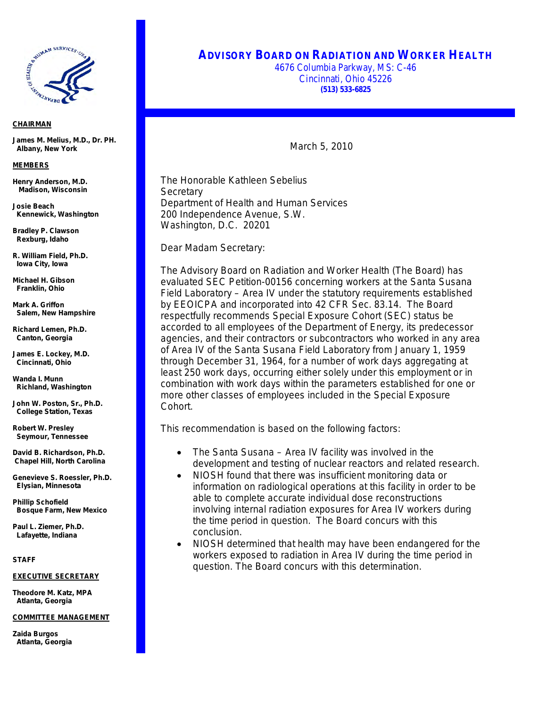

## *CHAIRMAN*

**James M. Melius, M.D., Dr. PH. Albany, New York**

#### *MEMBERS*

**Henry Anderson, M.D. Madison, Wisconsin**

**Josie Beach Kennewick, Washington** 

**Bradley P. Clawson Rexburg, Idaho**

**R. William Field, Ph.D. Iowa City, Iowa**

**Michael H. Gibson Franklin, Ohio**

**Mark A. Griffon Salem, New Hampshire**

**Richard Lemen, Ph.D. Canton, Georgia**

**James E. Lockey, M.D. Cincinnati, Ohio**

**Wanda I. Munn Richland, Washington**

**John W. Poston, Sr., Ph.D. College Station, Texas**

**Robert W. Presley Seymour, Tennessee**

**David B. Richardson, Ph.D. Chapel Hill, North Carolina**

**Genevieve S. Roessler, Ph.D. Elysian, Minnesota**

**Phillip Schofield Bosque Farm, New Mexico**

**Paul L. Ziemer, Ph.D. Lafayette, Indiana**

*STAFF*

## *EXECUTIVE SECRETARY*

**Theodore M. Katz, MPA Atlanta, Georgia**

#### *COMMITTEE MANAGEMENT*

**Zaida Burgos Atlanta, Georgia**

# **ADVISORY BOARD ON RADIATION AND WORKER HEALTH**

4676 Columbia Parkway, MS: C-46 Cincinnati, Ohio 45226 **(513) 533-6825**

March 5, 2010

The Honorable Kathleen Sebelius **Secretary** Department of Health and Human Services 200 Independence Avenue, S.W. Washington, D.C. 20201

Dear Madam Secretary:

The Advisory Board on Radiation and Worker Health (The Board) has evaluated SEC Petition-00156 concerning workers at the Santa Susana Field Laboratory – Area IV under the statutory requirements established by EEOICPA and incorporated into 42 CFR Sec. 83.14. The Board respectfully recommends Special Exposure Cohort (SEC) status be accorded to all employees of the Department of Energy, its predecessor agencies, and their contractors or subcontractors who worked in any area of Area IV of the Santa Susana Field Laboratory from January 1, 1959 through December 31, 1964, for a number of work days aggregating at least 250 work days, occurring either solely under this employment or in combination with work days within the parameters established for one or more other classes of employees included in the Special Exposure Cohort.

This recommendation is based on the following factors:

- The Santa Susana Area IV facility was involved in the development and testing of nuclear reactors and related research.
- NIOSH found that there was insufficient monitoring data or information on radiological operations at this facility in order to be able to complete accurate individual dose reconstructions involving internal radiation exposures for Area IV workers during the time period in question. The Board concurs with this conclusion.
- NIOSH determined that health may have been endangered for the workers exposed to radiation in Area IV during the time period in question. The Board concurs with this determination.